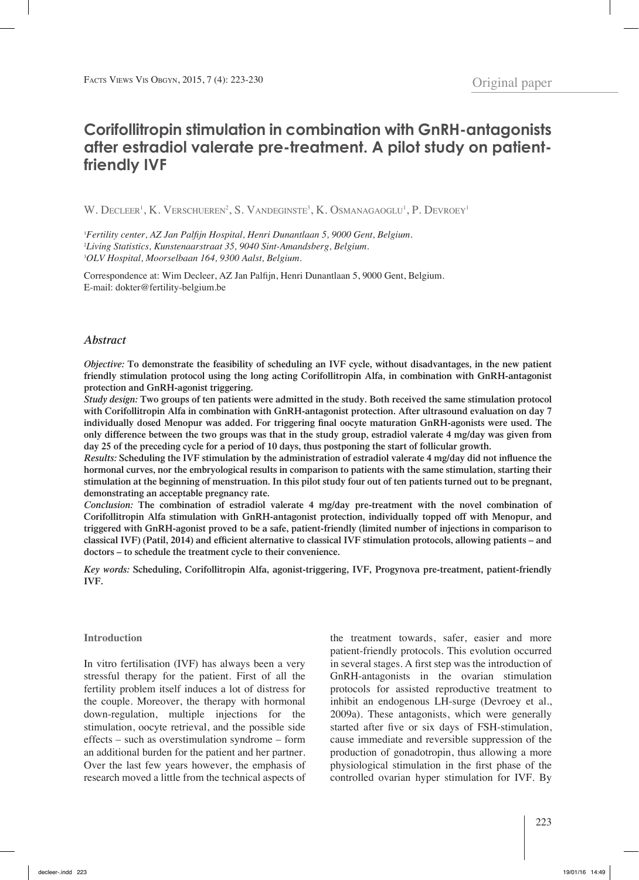# **Corifollitropin stimulation in combination with GnRH-antagonists after estradiol valerate pre-treatment. A pilot study on patientfriendly IVF**

W. Decleer<sup>1</sup>, K. Verschueren<sup>2</sup>, S. Vandeginste<sup>3</sup>, K. Osmanagaoglu<sup>1</sup>, P. Devroey<sup>1</sup>

1 *Fertility center, AZ Jan Palfijn Hospital, Henri Dunantlaan 5, 9000 Gent, Belgium.* 2 *Living Statistics, Kunstenaarstraat 35, 9040 Sint-Amandsberg, Belgium.* 3 *OLV Hospital, Moorselbaan 164, 9300 Aalst, Belgium.*

Correspondence at: Wim Decleer, AZ Jan Palfijn, Henri Dunantlaan 5, 9000 Gent, Belgium. E-mail: dokter@fertility-belgium.be

## *Abstract*

*Objective:* **To demonstrate the feasibility of scheduling an IVF cycle, without disadvantages, in the new patient friendly stimulation protocol using the long acting Corifollitropin Alfa, in combination with GnRH-antagonist protection and GnRH-agonist triggering.** 

*Study design:* **Two groups of ten patients were admitted in the study. Both received the same stimulation protocol with Corifollitropin Alfa in combination with GnRH-antagonist protection. After ultrasound evaluation on day 7 individually dosed Menopur was added. For triggering final oocyte maturation GnRH-agonists were used. The only difference between the two groups was that in the study group, estradiol valerate 4 mg/day was given from day 25 of the preceding cycle for a period of 10 days, thus postponing the start of follicular growth.**

*Results:* **Scheduling the IVF stimulation by the administration of estradiol valerate 4 mg/day did not influence the hormonal curves, nor the embryological results in comparison to patients with the same stimulation, starting their stimulation at the beginning of menstruation. In this pilot study four out of ten patients turned out to be pregnant, demonstrating an acceptable pregnancy rate.**

*Conclusion:* **The combination of estradiol valerate 4 mg/day pre-treatment with the novel combination of Corifollitropin Alfa stimulation with GnRH-antagonist protection, individually topped off with Menopur, and triggered with GnRH-agonist proved to be a safe, patient-friendly (limited number of injections in comparison to classical IVF) (Patil, 2014) and efficient alternative to classical IVF stimulation protocols, allowing patients – and doctors – to schedule the treatment cycle to their convenience.** 

*Key words:* **Scheduling, Corifollitropin Alfa, agonist-triggering, IVF, Progynova pre-treatment, patient-friendly IVF.**

## **Introduction**

In vitro fertilisation (IVF) has always been a very stressful therapy for the patient. First of all the fertility problem itself induces a lot of distress for the couple. Moreover, the therapy with hormonal down-regulation, multiple injections for the stimulation, oocyte retrieval, and the possible side effects – such as overstimulation syndrome – form an additional burden for the patient and her partner. Over the last few years however, the emphasis of research moved a little from the technical aspects of

the treatment towards, safer, easier and more patient-friendly protocols. This evolution occurred in several stages. A first step was the introduction of GnRH-antagonists in the ovarian stimulation protocols for assisted reproductive treatment to inhibit an endogenous LH-surge (Devroey et al., 2009a). These antagonists, which were generally started after five or six days of FSH-stimulation, cause immediate and reversible suppression of the production of gonadotropin, thus allowing a more physiological stimulation in the first phase of the controlled ovarian hyper stimulation for IVF. By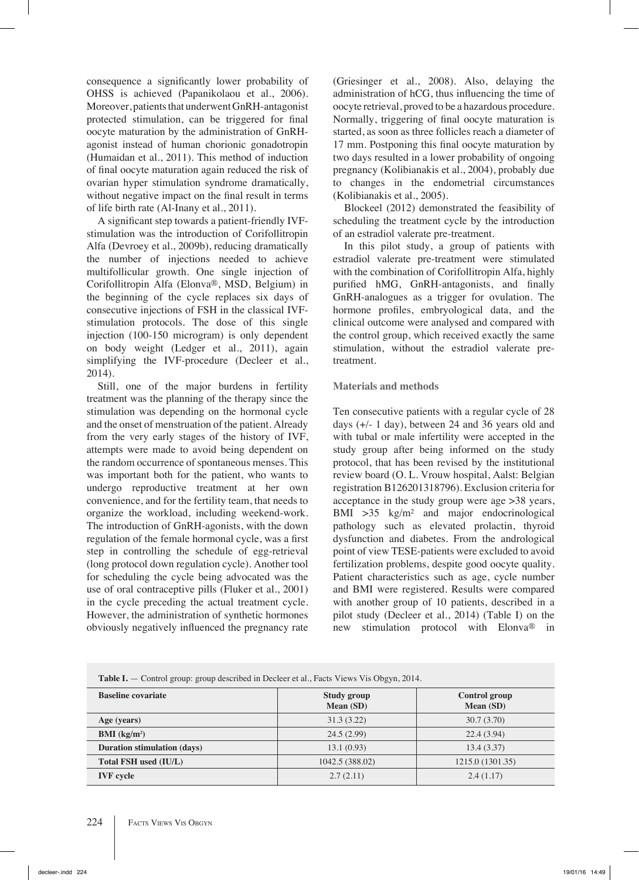consequence a significantly lower probability of OHSS is achieved (Papanikolaou et al., 2006). Moreover, patients that underwent GnRH-antagonist protected stimulation, can be triggered for final oocyte maturation by the administration of GnRHagonist instead of human chorionic gonadotropin (Humaidan et al., 2011). This method of induction of final oocyte maturation again reduced the risk of ovarian hyper stimulation syndrome dramatically, without negative impact on the final result in terms of life birth rate (Al-Inany et al., 2011).

A significant step towards a patient-friendly IVFstimulation was the introduction of Corifollitropin Alfa (Devroey et al., 2009b), reducing dramatically the number of injections needed to achieve multifollicular growth. One single injection of Corifollitropin Alfa (Elonva®, MSD, Belgium) in the beginning of the cycle replaces six days of consecutive injections of FSH in the classical IVFstimulation protocols. The dose of this single injection (100-150 microgram) is only dependent on body weight (Ledger et al., 2011), again simplifying the IVF-procedure (Decleer et al., 2014).

Still, one of the major burdens in fertility treatment was the planning of the therapy since the stimulation was depending on the hormonal cycle and the onset of menstruation of the patient. Already from the very early stages of the history of IVF, attempts were made to avoid being dependent on the random occurrence of spontaneous menses. This was important both for the patient, who wants to undergo reproductive treatment at her own convenience, and for the fertility team, that needs to organize the workload, including weekend-work. The introduction of GnRH-agonists, with the down regulation of the female hormonal cycle, was a first step in controlling the schedule of egg-retrieval (long protocol down regulation cycle). Another tool for scheduling the cycle being advocated was the use of oral contraceptive pills (Fluker et al., 2001) in the cycle preceding the actual treatment cycle. However, the administration of synthetic hormones obviously negatively influenced the pregnancy rate (Griesinger et al., 2008). Also, delaying the administration of hCG, thus influencing the time of oocyte retrieval, proved to be a hazardous procedure. Normally, triggering of final oocyte maturation is started, as soon as three follicles reach a diameter of 17 mm. Postponing this final oocyte maturation by two days resulted in a lower probability of ongoing pregnancy (Kolibianakis et al., 2004), probably due to changes in the endometrial circumstances (Kolibianakis et al., 2005).

Blockeel (2012) demonstrated the feasibility of scheduling the treatment cycle by the introduction of an estradiol valerate pre-treatment.

In this pilot study, a group of patients with estradiol valerate pre-treatment were stimulated with the combination of Corifollitropin Alfa, highly purified hMG, GnRH-antagonists, and finally GnRH-analogues as a trigger for ovulation. The hormone profiles, embryological data, and the clinical outcome were analysed and compared with the control group, which received exactly the same stimulation, without the estradiol valerate pretreatment.

## **Materials and methods**

Ten consecutive patients with a regular cycle of 28 days (+/- 1 day), between 24 and 36 years old and with tubal or male infertility were accepted in the study group after being informed on the study protocol, that has been revised by the institutional review board (O. L. Vrouw hospital, Aalst: Belgian registration B126201318796). Exclusion criteria for acceptance in the study group were age >38 years, BMI  $>35$  kg/m<sup>2</sup> and major endocrinological pathology such as elevated prolactin, thyroid dysfunction and diabetes. From the andrological point of view TESE-patients were excluded to avoid fertilization problems, despite good oocyte quality. Patient characteristics such as age, cycle number and BMI were registered. Results were compared with another group of 10 patients, described in a pilot study (Decleer et al., 2014) (Table I) on the new stimulation protocol with Elonva® in

| Table I. - Control group: group described in Decleer et al., Facts Views Vis Obgyn, 2014. |  |  |
|-------------------------------------------------------------------------------------------|--|--|
|                                                                                           |  |  |

| <b>Baseline covariate</b>          | Study group<br>Mean (SD) | <b>Control group</b><br>Mean (SD) |
|------------------------------------|--------------------------|-----------------------------------|
| Age (years)                        | 31.3(3.22)               | 30.7(3.70)                        |
| <b>BMI</b> ( $kg/m2$ )             | 24.5(2.99)               | 22.4(3.94)                        |
| <b>Duration stimulation (days)</b> | 13.1(0.93)               | 13.4(3.37)                        |
| Total FSH used (IU/L)              | 1042.5 (388.02)          | 1215.0 (1301.35)                  |
| <b>IVF</b> cycle                   | 2.7(2.11)                | 2.4(1.17)                         |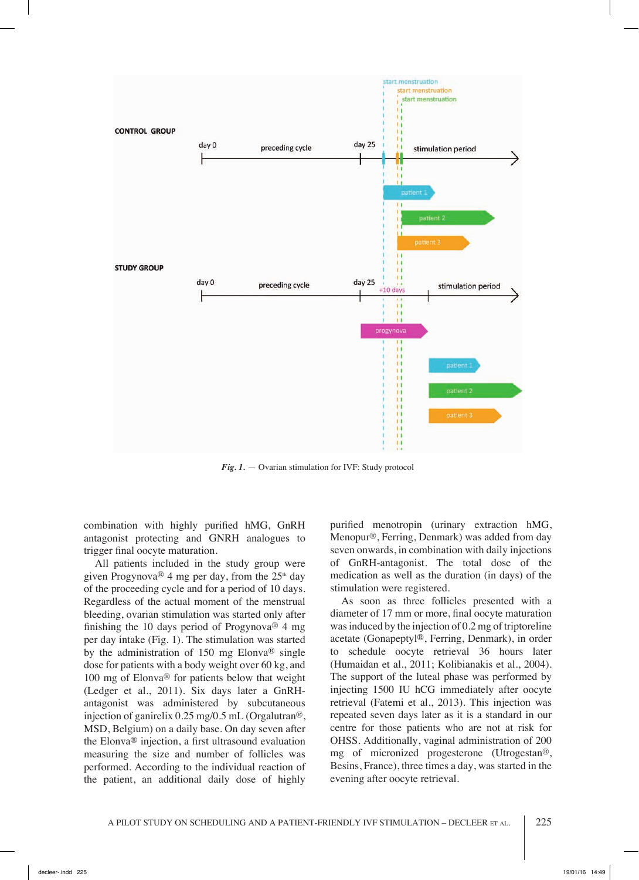

*Fig. 1.* — Ovarian stimulation for IVF: Study protocol

combination with highly purified hMG, GnRH antagonist protecting and GNRH analogues to trigger final oocyte maturation.

All patients included in the study group were given Progynova® 4 mg per day, from the  $25<sup>th</sup>$  day of the proceeding cycle and for a period of 10 days. Regardless of the actual moment of the menstrual bleeding, ovarian stimulation was started only after finishing the 10 days period of Progynova® 4 mg per day intake (Fig. 1). The stimulation was started by the administration of 150 mg Elonva® single dose for patients with a body weight over 60 kg, and 100 mg of Elonva® for patients below that weight (Ledger et al., 2011). Six days later a GnRHantagonist was administered by subcutaneous injection of ganirelix 0.25 mg/0.5 mL (Orgalutran®, MSD, Belgium) on a daily base. On day seven after the Elonva® injection, a first ultrasound evaluation measuring the size and number of follicles was performed. According to the individual reaction of the patient, an additional daily dose of highly

purified menotropin (urinary extraction hMG, Menopur®, Ferring, Denmark) was added from day seven onwards, in combination with daily injections of GnRH-antagonist. The total dose of the medication as well as the duration (in days) of the stimulation were registered.

As soon as three follicles presented with a diameter of 17 mm or more, final oocyte maturation was induced by the injection of 0.2 mg of triptoreline acetate (Gonapeptyl®, Ferring, Denmark), in order to schedule oocyte retrieval 36 hours later (Humaidan et al., 2011; Kolibianakis et al., 2004). The support of the luteal phase was performed by injecting 1500 IU hCG immediately after oocyte retrieval (Fatemi et al., 2013). This injection was repeated seven days later as it is a standard in our centre for those patients who are not at risk for OHSS. Additionally, vaginal administration of 200 mg of micronized progesterone (Utrogestan®, Besins, France), three times a day, was started in the evening after oocyte retrieval.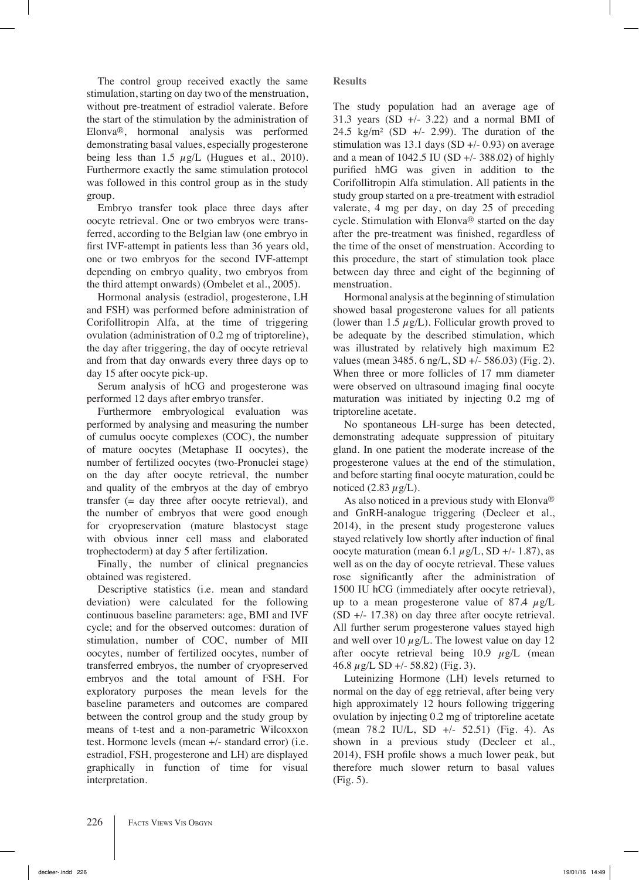The control group received exactly the same stimulation, starting on day two of the menstruation, without pre-treatment of estradiol valerate. Before the start of the stimulation by the administration of Elonva®, hormonal analysis was performed demonstrating basal values, especially progesterone being less than 1.5  $\mu$ g/L (Hugues et al., 2010). Furthermore exactly the same stimulation protocol was followed in this control group as in the study group.

Embryo transfer took place three days after oocyte retrieval. One or two embryos were transferred, according to the Belgian law (one embryo in first IVF-attempt in patients less than 36 years old, one or two embryos for the second IVF-attempt depending on embryo quality, two embryos from the third attempt onwards) (Ombelet et al., 2005).

Hormonal analysis (estradiol, progesterone, LH and FSH) was performed before administration of Corifollitropin Alfa, at the time of triggering ovulation (administration of 0.2 mg of triptoreline), the day after triggering, the day of oocyte retrieval and from that day onwards every three days op to day 15 after oocyte pick-up.

Serum analysis of hCG and progesterone was performed 12 days after embryo transfer.

Furthermore embryological evaluation was performed by analysing and measuring the number of cumulus oocyte complexes (COC), the number of mature oocytes (Metaphase II oocytes), the number of fertilized oocytes (two-Pronuclei stage) on the day after oocyte retrieval, the number and quality of the embryos at the day of embryo transfer (= day three after oocyte retrieval), and the number of embryos that were good enough for cryopreservation (mature blastocyst stage with obvious inner cell mass and elaborated trophectoderm) at day 5 after fertilization.

Finally, the number of clinical pregnancies obtained was registered.

Descriptive statistics (i.e. mean and standard deviation) were calculated for the following continuous baseline parameters: age, BMI and IVF cycle; and for the observed outcomes: duration of stimulation, number of COC, number of MII oocytes, number of fertilized oocytes, number of transferred embryos, the number of cryopreserved embryos and the total amount of FSH. For exploratory purposes the mean levels for the baseline parameters and outcomes are compared between the control group and the study group by means of t-test and a non-parametric Wilcoxxon test. Hormone levels (mean +/- standard error) (i.e. estradiol, FSH, progesterone and LH) are displayed graphically in function of time for visual interpretation.

**Results**

The study population had an average age of 31.3 years  $(SD +1 - 3.22)$  and a normal BMI of 24.5 kg/m<sup>2</sup> (SD  $+/- 2.99$ ). The duration of the stimulation was 13.1 days (SD  $+/-$  0.93) on average and a mean of  $1042.5$  IU (SD  $+/- 388.02$ ) of highly purified hMG was given in addition to the Corifollitropin Alfa stimulation. All patients in the study group started on a pre-treatment with estradiol valerate, 4 mg per day, on day 25 of preceding cycle. Stimulation with Elonva® started on the day after the pre-treatment was finished, regardless of the time of the onset of menstruation. According to this procedure, the start of stimulation took place between day three and eight of the beginning of menstruation.

Hormonal analysis at the beginning of stimulation showed basal progesterone values for all patients (lower than 1.5  $\mu$ g/L). Follicular growth proved to be adequate by the described stimulation, which was illustrated by relatively high maximum E2 values (mean 3485. 6 ng/L, SD +/- 586.03) (Fig. 2). When three or more follicles of 17 mm diameter were observed on ultrasound imaging final oocyte maturation was initiated by injecting 0.2 mg of triptoreline acetate.

No spontaneous LH-surge has been detected, demonstrating adequate suppression of pituitary gland. In one patient the moderate increase of the progesterone values at the end of the stimulation, and before starting final oocyte maturation, could be noticed  $(2.83 \mu g/L)$ .

As also noticed in a previous study with Elonva® and GnRH-analogue triggering (Decleer et al., 2014), in the present study progesterone values stayed relatively low shortly after induction of final oocyte maturation (mean 6.1  $\mu$ g/L, SD +/- 1.87), as well as on the day of oocyte retrieval. These values rose significantly after the administration of 1500 IU hCG (immediately after oocyte retrieval), up to a mean progesterone value of 87.4  $\mu$ g/L (SD +/- 17.38) on day three after oocyte retrieval. All further serum progesterone values stayed high and well over 10  $\mu$ g/L. The lowest value on day 12 after oocyte retrieval being  $10.9 \mu g/L$  (mean 46.8  $\mu$ g/L SD +/- 58.82) (Fig. 3).

Luteinizing Hormone (LH) levels returned to normal on the day of egg retrieval, after being very high approximately 12 hours following triggering ovulation by injecting 0.2 mg of triptoreline acetate (mean 78.2 IU/L, SD +/- 52.51) (Fig. 4). As shown in a previous study (Decleer et al., 2014), FSH profile shows a much lower peak, but therefore much slower return to basal values (Fig. 5).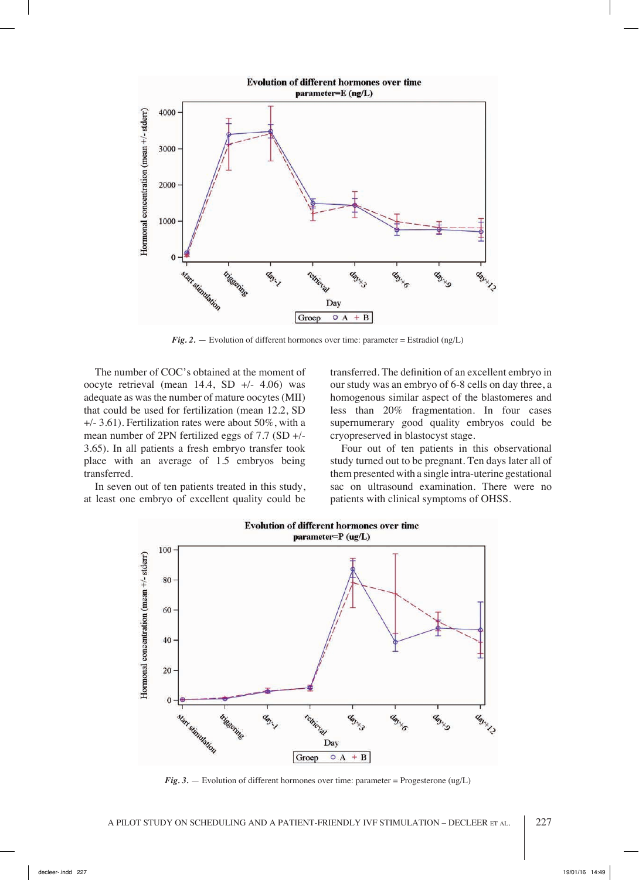

 $Fig. 2.$  — Evolution of different hormones over time: parameter = Estradiol (ng/L)

The number of COC's obtained at the moment of oocyte retrieval (mean 14.4, SD +/- 4.06) was adequate as was the number of mature oocytes (MII) that could be used for fertilization (mean 12.2, SD +/- 3.61). Fertilization rates were about 50%, with a mean number of 2PN fertilized eggs of 7.7 (SD +/- 3.65). In all patients a fresh embryo transfer took place with an average of 1.5 embryos being transferred.

In seven out of ten patients treated in this study, at least one embryo of excellent quality could be

transferred. The definition of an excellent embryo in our study was an embryo of 6-8 cells on day three, a homogenous similar aspect of the blastomeres and less than 20% fragmentation. In four cases supernumerary good quality embryos could be cryopreserved in blastocyst stage.

Four out of ten patients in this observational study turned out to be pregnant. Ten days later all of them presented with a single intra-uterine gestational sac on ultrasound examination. There were no patients with clinical symptoms of OHSS.



*Fig. 3.* — Evolution of different hormones over time: parameter = Progesterone (ug/L)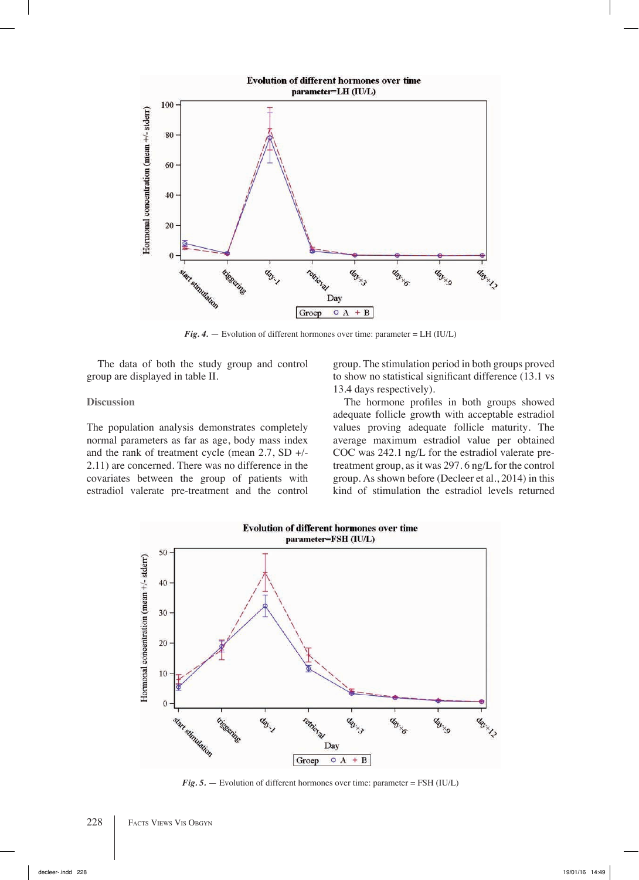

*Fig. 4.*  $-$  Evolution of different hormones over time: parameter = LH (IU/L)

The data of both the study group and control group are displayed in table II.

#### **Discussion**

The population analysis demonstrates completely normal parameters as far as age, body mass index and the rank of treatment cycle (mean  $2.7$ , SD  $+/-$ 2.11) are concerned. There was no difference in the covariates between the group of patients with estradiol valerate pre-treatment and the control

group. The stimulation period in both groups proved to show no statistical significant difference (13.1 vs 13.4 days respectively).

The hormone profiles in both groups showed adequate follicle growth with acceptable estradiol values proving adequate follicle maturity. The average maximum estradiol value per obtained COC was 242.1 ng/L for the estradiol valerate pretreatment group, as it was 297. 6 ng/L for the control group. As shown before (Decleer et al., 2014) in this kind of stimulation the estradiol levels returned



*Fig. 5.* — Evolution of different hormones over time: parameter = FSH (IU/L)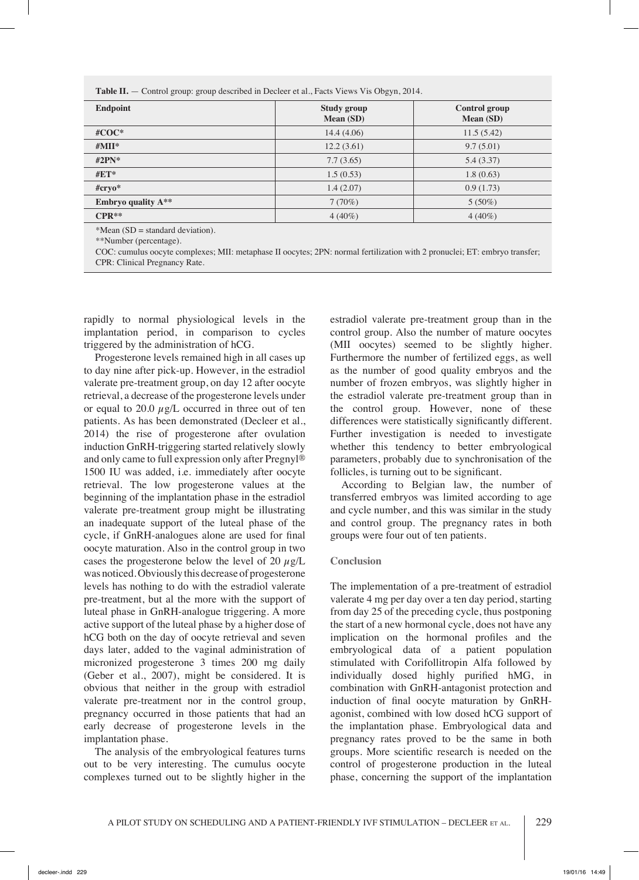| <b>Endpoint</b>                    | <b>Study group</b><br><b>Mean (SD)</b> | <b>Control group</b><br><b>Mean (SD)</b> |  |  |
|------------------------------------|----------------------------------------|------------------------------------------|--|--|
| # $COC^*$                          | 14.4(4.06)                             | 11.5(5.42)                               |  |  |
| # $MII^*$                          | 12.2(3.61)                             | 9.7(5.01)                                |  |  |
| #2 $PN^*$                          | 7.7(3.65)                              | 5.4(3.37)                                |  |  |
| $\#ET^*$                           | 1.5(0.53)                              | 1.8(0.63)                                |  |  |
| $#$ cryo*                          | 1.4(2.07)                              | 0.9(1.73)                                |  |  |
| <b>Embryo quality A**</b>          | 7(70%)                                 | $5(50\%)$                                |  |  |
| $CPR**$                            | $4(40\%)$                              | $4(40\%)$                                |  |  |
| $*Mean (SD = standard deviation).$ |                                        |                                          |  |  |

\*\*Number (percentage).

COC: cumulus oocyte complexes; MII: metaphase II oocytes; 2PN: normal fertilization with 2 pronuclei; ET: embryo transfer; CPR: Clinical Pregnancy Rate.

rapidly to normal physiological levels in the implantation period, in comparison to cycles triggered by the administration of hCG.

Progesterone levels remained high in all cases up to day nine after pick-up. However, in the estradiol valerate pre-treatment group, on day 12 after oocyte retrieval, a decrease of the progesterone levels under or equal to 20.0  $\mu$ g/L occurred in three out of ten patients. As has been demonstrated (Decleer et al., 2014) the rise of progesterone after ovulation induction GnRH-triggering started relatively slowly and only came to full expression only after Pregnyl® 1500 IU was added, i.e. immediately after oocyte retrieval. The low progesterone values at the beginning of the implantation phase in the estradiol valerate pre-treatment group might be illustrating an inadequate support of the luteal phase of the cycle, if GnRH-analogues alone are used for final oocyte maturation. Also in the control group in two cases the progesterone below the level of 20  $\mu$ g/L was noticed. Obviously this decrease of progesterone levels has nothing to do with the estradiol valerate pre-treatment, but al the more with the support of luteal phase in GnRH-analogue triggering. A more active support of the luteal phase by a higher dose of hCG both on the day of oocyte retrieval and seven days later, added to the vaginal administration of micronized progesterone 3 times 200 mg daily (Geber et al., 2007), might be considered. It is obvious that neither in the group with estradiol valerate pre-treatment nor in the control group, pregnancy occurred in those patients that had an early decrease of progesterone levels in the implantation phase.

The analysis of the embryological features turns out to be very interesting. The cumulus oocyte complexes turned out to be slightly higher in the estradiol valerate pre-treatment group than in the control group. Also the number of mature oocytes (MII oocytes) seemed to be slightly higher. Furthermore the number of fertilized eggs, as well as the number of good quality embryos and the number of frozen embryos, was slightly higher in the estradiol valerate pre-treatment group than in the control group. However, none of these differences were statistically significantly different. Further investigation is needed to investigate whether this tendency to better embryological parameters, probably due to synchronisation of the follicles, is turning out to be significant.

According to Belgian law, the number of transferred embryos was limited according to age and cycle number, and this was similar in the study and control group. The pregnancy rates in both groups were four out of ten patients.

### **Conclusion**

The implementation of a pre-treatment of estradiol valerate 4 mg per day over a ten day period, starting from day 25 of the preceding cycle, thus postponing the start of a new hormonal cycle, does not have any implication on the hormonal profiles and the embryological data of a patient population stimulated with Corifollitropin Alfa followed by individually dosed highly purified hMG, in combination with GnRH-antagonist protection and induction of final oocyte maturation by GnRHagonist, combined with low dosed hCG support of the implantation phase. Embryological data and pregnancy rates proved to be the same in both groups. More scientific research is needed on the control of progesterone production in the luteal phase, concerning the support of the implantation